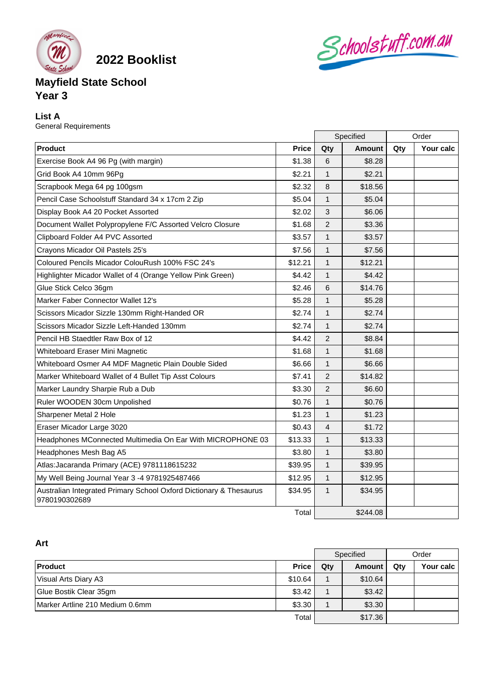

**2022 Booklist**

# **Mayfield State School Year 3**

## **List A**

General Requirements

|                                                                                     |              | Specified      |               | Order |           |
|-------------------------------------------------------------------------------------|--------------|----------------|---------------|-------|-----------|
| Product                                                                             | <b>Price</b> | Qty            | <b>Amount</b> | Qty   | Your calc |
| Exercise Book A4 96 Pg (with margin)                                                | \$1.38       | 6              | \$8.28        |       |           |
| Grid Book A4 10mm 96Pg                                                              | \$2.21       | $\mathbf{1}$   | \$2.21        |       |           |
| Scrapbook Mega 64 pg 100gsm                                                         | \$2.32       | 8              | \$18.56       |       |           |
| Pencil Case Schoolstuff Standard 34 x 17cm 2 Zip                                    | \$5.04       | $\mathbf{1}$   | \$5.04        |       |           |
| Display Book A4 20 Pocket Assorted                                                  | \$2.02       | 3              | \$6.06        |       |           |
| Document Wallet Polypropylene F/C Assorted Velcro Closure                           | \$1.68       | $\overline{2}$ | \$3.36        |       |           |
| Clipboard Folder A4 PVC Assorted                                                    | \$3.57       | 1              | \$3.57        |       |           |
| Crayons Micador Oil Pastels 25's                                                    | \$7.56       | 1              | \$7.56        |       |           |
| Coloured Pencils Micador ColouRush 100% FSC 24's                                    | \$12.21      | $\mathbf{1}$   | \$12.21       |       |           |
| Highlighter Micador Wallet of 4 (Orange Yellow Pink Green)                          | \$4.42       | 1              | \$4.42        |       |           |
| Glue Stick Celco 36gm                                                               | \$2.46       | 6              | \$14.76       |       |           |
| Marker Faber Connector Wallet 12's                                                  | \$5.28       | $\mathbf{1}$   | \$5.28        |       |           |
| Scissors Micador Sizzle 130mm Right-Handed OR                                       | \$2.74       | $\mathbf{1}$   | \$2.74        |       |           |
| Scissors Micador Sizzle Left-Handed 130mm                                           | \$2.74       | 1              | \$2.74        |       |           |
| Pencil HB Staedtler Raw Box of 12                                                   | \$4.42       | $\overline{2}$ | \$8.84        |       |           |
| Whiteboard Eraser Mini Magnetic                                                     | \$1.68       | $\mathbf{1}$   | \$1.68        |       |           |
| Whiteboard Osmer A4 MDF Magnetic Plain Double Sided                                 | \$6.66       | $\mathbf{1}$   | \$6.66        |       |           |
| Marker Whiteboard Wallet of 4 Bullet Tip Asst Colours                               | \$7.41       | 2              | \$14.82       |       |           |
| Marker Laundry Sharpie Rub a Dub                                                    | \$3.30       | $\overline{2}$ | \$6.60        |       |           |
| Ruler WOODEN 30cm Unpolished                                                        | \$0.76       | $\mathbf{1}$   | \$0.76        |       |           |
| Sharpener Metal 2 Hole                                                              | \$1.23       | 1              | \$1.23        |       |           |
| Eraser Micador Large 3020                                                           | \$0.43       | 4              | \$1.72        |       |           |
| Headphones MConnected Multimedia On Ear With MICROPHONE 03                          | \$13.33      | 1              | \$13.33       |       |           |
| Headphones Mesh Bag A5                                                              | \$3.80       | $\mathbf{1}$   | \$3.80        |       |           |
| Atlas: Jacaranda Primary (ACE) 9781118615232                                        | \$39.95      | $\mathbf{1}$   | \$39.95       |       |           |
| My Well Being Journal Year 3 -4 9781925487466                                       | \$12.95      | $\mathbf{1}$   | \$12.95       |       |           |
| Australian Integrated Primary School Oxford Dictionary & Thesaurus<br>9780190302689 | \$34.95      | $\mathbf{1}$   | \$34.95       |       |           |
|                                                                                     | Total        |                | \$244.08      |       |           |

Schoolstuff.com.au

## **Art**

|                                         |              | Specified |         | Order |           |
|-----------------------------------------|--------------|-----------|---------|-------|-----------|
| <b>Product</b>                          | <b>Price</b> | $Q$ ty    | Amount  | Qty   | Your calc |
| Visual Arts Diary A3                    | \$10.64      |           | \$10.64 |       |           |
| Glue Bostik Clear 35gm                  | \$3.42       |           | \$3.42  |       |           |
| <b>IMarker Artline 210 Medium 0.6mm</b> | \$3.30       |           | \$3.30  |       |           |
|                                         | Total        |           | \$17.36 |       |           |